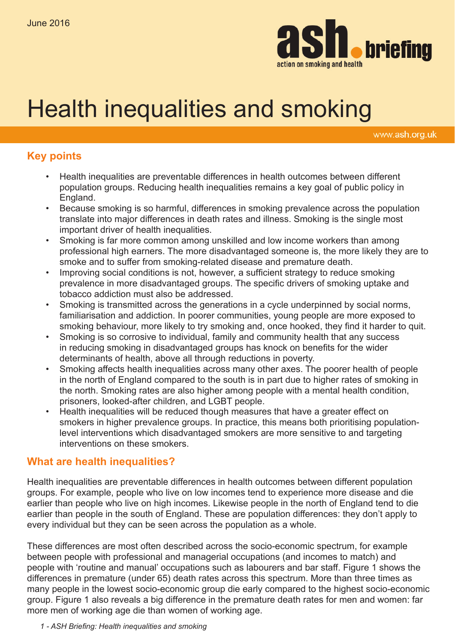

# Health inequalities and smoking

www.ash.org.uk

## **Key points**

- Health inequalities are preventable differences in health outcomes between different population groups. Reducing health inequalities remains a key goal of public policy in England.
- Because smoking is so harmful, differences in smoking prevalence across the population translate into major differences in death rates and illness. Smoking is the single most important driver of health inequalities.
- Smoking is far more common among unskilled and low income workers than among professional high earners. The more disadvantaged someone is, the more likely they are to smoke and to suffer from smoking-related disease and premature death.
- Improving social conditions is not, however, a sufficient strategy to reduce smoking prevalence in more disadvantaged groups. The specific drivers of smoking uptake and tobacco addiction must also be addressed.
- Smoking is transmitted across the generations in a cycle underpinned by social norms, familiarisation and addiction. In poorer communities, young people are more exposed to smoking behaviour, more likely to try smoking and, once hooked, they find it harder to quit.
- Smoking is so corrosive to individual, family and community health that any success in reducing smoking in disadvantaged groups has knock on benefits for the wider determinants of health, above all through reductions in poverty.
- • Smoking affects health inequalities across many other axes. The poorer health of people in the north of England compared to the south is in part due to higher rates of smoking in the north. Smoking rates are also higher among people with a mental health condition, prisoners, looked-after children, and LGBT people.
- Health inequalities will be reduced though measures that have a greater effect on smokers in higher prevalence groups. In practice, this means both prioritising populationlevel interventions which disadvantaged smokers are more sensitive to and targeting interventions on these smokers.

## **What are health inequalities?**

Health inequalities are preventable differences in health outcomes between different population groups. For example, people who live on low incomes tend to experience more disease and die earlier than people who live on high incomes. Likewise people in the north of England tend to die earlier than people in the south of England. These are population differences: they don't apply to every individual but they can be seen across the population as a whole.

These differences are most often described across the socio-economic spectrum, for example between people with professional and managerial occupations (and incomes to match) and people with 'routine and manual' occupations such as labourers and bar staff. Figure 1 shows the differences in premature (under 65) death rates across this spectrum. More than three times as many people in the lowest socio-economic group die early compared to the highest socio-economic group. Figure 1 also reveals a big difference in the premature death rates for men and women: far more men of working age die than women of working age.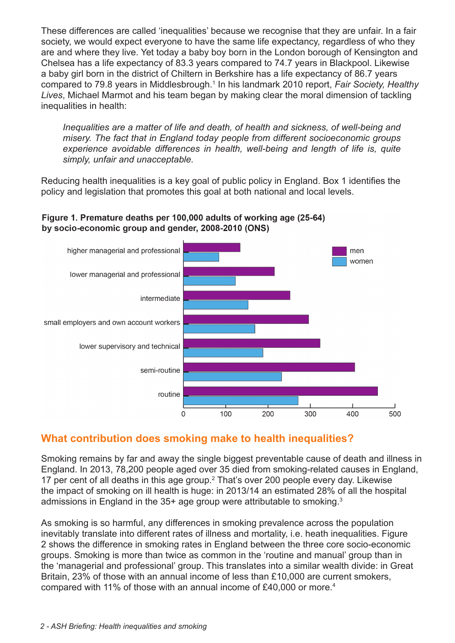These differences are called 'inequalities' because we recognise that they are unfair. In a fair society, we would expect everyone to have the same life expectancy, regardless of who they are and where they live. Yet today a baby boy born in the London borough of Kensington and Chelsea has a life expectancy of 83.3 years compared to 74.7 years in Blackpool. Likewise a baby girl born in the district of Chiltern in Berkshire has a life expectancy of 86.7 years compared to 79.8 years in Middlesbrough.<sup>1</sup> In his landmark 2010 report, Fair Society, Healthy *Lives*, Michael Marmot and his team began by making clear the moral dimension of tackling inequalities in health:

*Inequalities are a matter of life and death, of health and sickness, of well-being and misery. The fact that in England today people from different socioeconomic groups experience avoidable differences in health, well-being and length of life is, quite simply, unfair and unacceptable.* 

Reducing health inequalities is a key goal of public policy in England. Box 1 identifies the policy and legislation that promotes this goal at both national and local levels.

## Figure 1. Premature deaths per 100,000 adults of working age (25-64) by socio-economic group and gender, 2008-2010 (ONS)



## **What contribution does smoking make to health inequalities?**

Smoking remains by far and away the single biggest preventable cause of death and illness in England. In 2013, 78,200 people aged over 35 died from smoking-related causes in England, 17 per cent of all deaths in this age group.<sup>2</sup> That's over 200 people every day. Likewise the impact of smoking on ill health is huge: in 2013/14 an estimated 28% of all the hospital admissions in England in the 35+ age group were attributable to smoking.3

As smoking is so harmful, any differences in smoking prevalence across the population inevitably translate into different rates of illness and mortality, i.e. heath inequalities. Figure 2 shows the difference in smoking rates in England between the three core socio-economic groups. Smoking is more than twice as common in the 'routine and manual' group than in the 'managerial and professional' group. This translates into a similar wealth divide: in Great Britain, 23% of those with an annual income of less than £10,000 are current smokers, compared with 11% of those with an annual income of £40,000 or more.4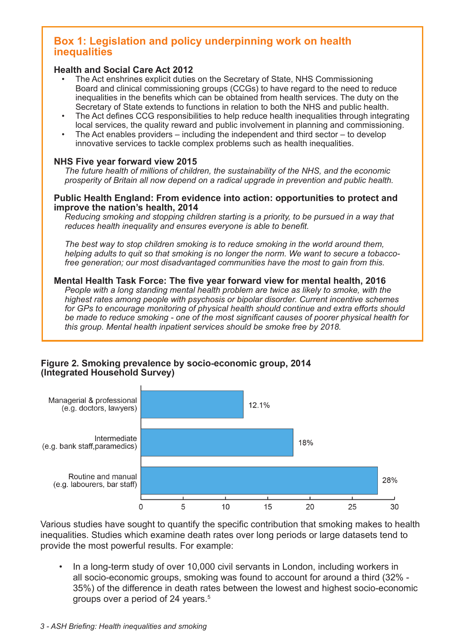## **Box 1: Legislation and policy underpinning work on health inequalities**

#### **Health and Social Care Act 2012**

- The Act enshrines explicit duties on the Secretary of State, NHS Commissioning Board and clinical commissioning groups (CCGs) to have regard to the need to reduce inequalities in the benefits which can be obtained from health services. The duty on the Secretary of State extends to functions in relation to both the NHS and public health.
- The Act defines CCG responsibilities to help reduce health inequalities through integrating local services, the quality reward and public involvement in planning and commissioning.
- The Act enables providers  $-$  including the independent and third sector  $-$  to develop innovative services to tackle complex problems such as health inequalities.

#### **NHS Five year forward view 2015**

*The future health of millions of children, the sustainability of the NHS, and the economic prosperity of Britain all now depend on a radical upgrade in prevention and public health.*

#### **Public Health England: From evidence into action: opportunities to protect and improve the nation's health, 2014**

*Reducing smoking and stopping children starting is a priority, to be pursued in a way that reduces health inequality and ensures everyone is able to benefit.*

*The best way to stop children smoking is to reduce smoking in the world around them, helping adults to quit so that smoking is no longer the norm. We want to secure a tobaccofree generation; our most disadvantaged communities have the most to gain from this.*

#### **Mental Health Task Force: The five year forward view for mental health, 2016**

*People with a long standing mental health problem are twice as likely to smoke, with the highest rates among people with psychosis or bipolar disorder. Current incentive schemes for GPs to encourage monitoring of physical health should continue and extra efforts should be made to reduce smoking - one of the most significant causes of poorer physical health for this group. Mental health inpatient services should be smoke free by 2018.* 

#### Figure 2. Smoking prevalence by socio-economic group, 2014 (Integrated Household Survey)



Various studies have sought to quantify the specific contribution that smoking makes to health inequalities. Studies which examine death rates over long periods or large datasets tend to provide the most powerful results. For example:

In a long-term study of over 10,000 civil servants in London, including workers in all socio-economic groups, smoking was found to account for around a third (32% - 35%) of the difference in death rates between the lowest and highest socio-economic groups over a period of 24 years.<sup>5</sup>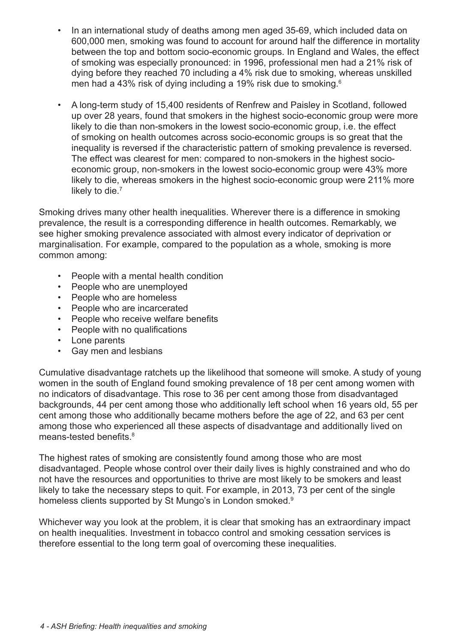- In an international study of deaths among men aged 35-69, which included data on 600,000 men, smoking was found to account for around half the difference in mortality between the top and bottom socio-economic groups. In England and Wales, the effect of smoking was especially pronounced: in 1996, professional men had a 21% risk of dying before they reached 70 including a 4% risk due to smoking, whereas unskilled men had a 43% risk of dying including a 19% risk due to smoking.<sup>6</sup>
- A long-term study of 15,400 residents of Renfrew and Paisley in Scotland, followed up over 28 years, found that smokers in the highest socio-economic group were more likely to die than non-smokers in the lowest socio-economic group, i.e. the effect of smoking on health outcomes across socio-economic groups is so great that the inequality is reversed if the characteristic pattern of smoking prevalence is reversed. The effect was clearest for men: compared to non-smokers in the highest socioeconomic group, non-smokers in the lowest socio-economic group were 43% more likely to die, whereas smokers in the highest socio-economic group were 211% more likely to die.<sup>7</sup>

Smoking drives many other health inequalities. Wherever there is a difference in smoking prevalence, the result is a corresponding difference in health outcomes. Remarkably, we see higher smoking prevalence associated with almost every indicator of deprivation or marginalisation. For example, compared to the population as a whole, smoking is more common among:

- • People with a mental health condition
- People who are unemployed
- • People who are homeless
- People who are incarcerated
- People who receive welfare benefits
- • People with no qualifications
- • Lone parents
- • Gay men and lesbians

Cumulative disadvantage ratchets up the likelihood that someone will smoke. A study of young women in the south of England found smoking prevalence of 18 per cent among women with no indicators of disadvantage. This rose to 36 per cent among those from disadvantaged backgrounds, 44 per cent among those who additionally left school when 16 years old, 55 per cent among those who additionally became mothers before the age of 22, and 63 per cent among those who experienced all these aspects of disadvantage and additionally lived on means-tested benefits.<sup>8</sup>

The highest rates of smoking are consistently found among those who are most disadvantaged. People whose control over their daily lives is highly constrained and who do not have the resources and opportunities to thrive are most likely to be smokers and least likely to take the necessary steps to quit. For example, in 2013, 73 per cent of the single homeless clients supported by St Mungo's in London smoked.<sup>9</sup>

Whichever way you look at the problem, it is clear that smoking has an extraordinary impact on health inequalities. Investment in tobacco control and smoking cessation services is therefore essential to the long term goal of overcoming these inequalities.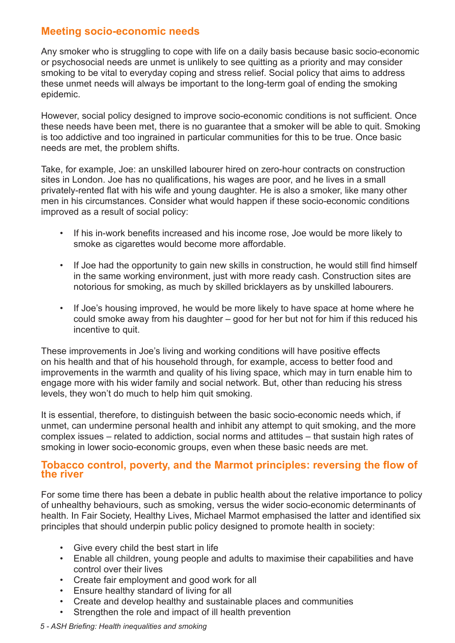## **Meeting socio-economic needs**

Any smoker who is struggling to cope with life on a daily basis because basic socio-economic or psychosocial needs are unmet is unlikely to see quitting as a priority and may consider smoking to be vital to everyday coping and stress relief. Social policy that aims to address these unmet needs will always be important to the long-term goal of ending the smoking epidemic.

However, social policy designed to improve socio-economic conditions is not sufficient. Once these needs have been met, there is no guarantee that a smoker will be able to quit. Smoking is too addictive and too ingrained in particular communities for this to be true. Once basic needs are met, the problem shifts.

Take, for example, Joe: an unskilled labourer hired on zero-hour contracts on construction sites in London. Joe has no qualifications, his wages are poor, and he lives in a small privately-rented flat with his wife and young daughter. He is also a smoker, like many other men in his circumstances. Consider what would happen if these socio-economic conditions improved as a result of social policy:

- If his in-work benefits increased and his income rose, Joe would be more likely to smoke as cigarettes would become more affordable.
- If Joe had the opportunity to gain new skills in construction, he would still find himself in the same working environment, just with more ready cash. Construction sites are notorious for smoking, as much by skilled bricklayers as by unskilled labourers.
- If Joe's housing improved, he would be more likely to have space at home where he could smoke away from his daughter – good for her but not for him if this reduced his incentive to quit.

These improvements in Joe's living and working conditions will have positive effects on his health and that of his household through, for example, access to better food and improvements in the warmth and quality of his living space, which may in turn enable him to engage more with his wider family and social network. But, other than reducing his stress levels, they won't do much to help him quit smoking.

It is essential, therefore, to distinguish between the basic socio-economic needs which, if unmet, can undermine personal health and inhibit any attempt to quit smoking, and the more complex issues – related to addiction, social norms and attitudes – that sustain high rates of smoking in lower socio-economic groups, even when these basic needs are met.

## **Tobacco control, poverty, and the Marmot principles: reversing the flow of the river**

For some time there has been a debate in public health about the relative importance to policy of unhealthy behaviours, such as smoking, versus the wider socio-economic determinants of health. In Fair Society, Healthy Lives, Michael Marmot emphasised the latter and identified six principles that should underpin public policy designed to promote health in society:

- Give every child the best start in life
- Enable all children, young people and adults to maximise their capabilities and have control over their lives
- • Create fair employment and good work for all
- • Ensure healthy standard of living for all
- • Create and develop healthy and sustainable places and communities
- Strengthen the role and impact of ill health prevention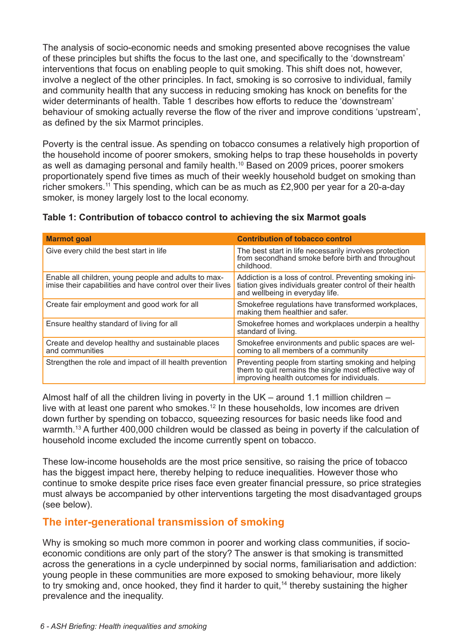The analysis of socio-economic needs and smoking presented above recognises the value of these principles but shifts the focus to the last one, and specifically to the 'downstream' interventions that focus on enabling people to quit smoking. This shift does not, however, involve a neglect of the other principles. In fact, smoking is so corrosive to individual, family and community health that any success in reducing smoking has knock on benefits for the wider determinants of health. Table 1 describes how efforts to reduce the 'downstream' behaviour of smoking actually reverse the flow of the river and improve conditions 'upstream', as defined by the six Marmot principles.

Poverty is the central issue. As spending on tobacco consumes a relatively high proportion of the household income of poorer smokers, smoking helps to trap these households in poverty as well as damaging personal and family health.<sup>10</sup> Based on 2009 prices, poorer smokers proportionately spend five times as much of their weekly household budget on smoking than richer smokers.11 This spending, which can be as much as £2,900 per year for a 20-a-day smoker, is money largely lost to the local economy.

| <b>Marmot goal</b>                                                                                                 | <b>Contribution of tobacco control</b>                                                                                                                     |
|--------------------------------------------------------------------------------------------------------------------|------------------------------------------------------------------------------------------------------------------------------------------------------------|
| Give every child the best start in life                                                                            | The best start in life necessarily involves protection<br>from secondhand smoke before birth and throughout<br>childhood.                                  |
| Enable all children, young people and adults to max-<br>imise their capabilities and have control over their lives | Addiction is a loss of control. Preventing smoking ini-<br>tiation gives individuals greater control of their health<br>and wellbeing in everyday life.    |
| Create fair employment and good work for all                                                                       | Smokefree regulations have transformed workplaces,<br>making them healthier and safer.                                                                     |
| Ensure healthy standard of living for all                                                                          | Smokefree homes and workplaces underpin a healthy<br>standard of living.                                                                                   |
| Create and develop healthy and sustainable places<br>and communities                                               | Smokefree environments and public spaces are wel-<br>coming to all members of a community                                                                  |
| Strengthen the role and impact of ill health prevention                                                            | Preventing people from starting smoking and helping<br>them to quit remains the single most effective way of<br>improving health outcomes for individuals. |

## **Table 1: Contribution of tobacco control to achieving the six Marmot goals**

Almost half of all the children living in poverty in the UK – around 1.1 million children – live with at least one parent who smokes.<sup>12</sup> In these households, low incomes are driven down further by spending on tobacco, squeezing resources for basic needs like food and warmth.<sup>13</sup> A further 400,000 children would be classed as being in poverty if the calculation of household income excluded the income currently spent on tobacco.

These low-income households are the most price sensitive, so raising the price of tobacco has the biggest impact here, thereby helping to reduce inequalities. However those who continue to smoke despite price rises face even greater financial pressure, so price strategies must always be accompanied by other interventions targeting the most disadvantaged groups (see below).

## **The inter-generational transmission of smoking**

Why is smoking so much more common in poorer and working class communities, if socioeconomic conditions are only part of the story? The answer is that smoking is transmitted across the generations in a cycle underpinned by social norms, familiarisation and addiction: young people in these communities are more exposed to smoking behaviour, more likely to try smoking and, once hooked, they find it harder to quit,<sup>14</sup> thereby sustaining the higher prevalence and the inequality.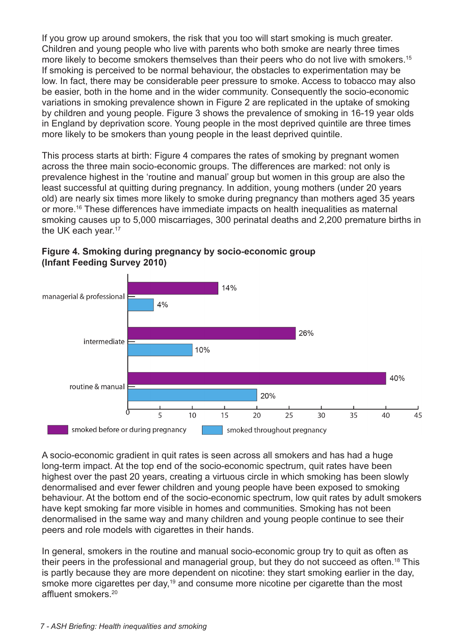If you grow up around smokers, the risk that you too will start smoking is much greater. Children and young people who live with parents who both smoke are nearly three times more likely to become smokers themselves than their peers who do not live with smokers.<sup>15</sup> If smoking is perceived to be normal behaviour, the obstacles to experimentation may be low. In fact, there may be considerable peer pressure to smoke. Access to tobacco may also be easier, both in the home and in the wider community. Consequently the socio-economic variations in smoking prevalence shown in Figure 2 are replicated in the uptake of smoking by children and young people. Figure 3 shows the prevalence of smoking in 16-19 year olds in England by deprivation score. Young people in the most deprived quintile are three times more likely to be smokers than young people in the least deprived quintile.

This process starts at birth: Figure 4 compares the rates of smoking by pregnant women across the three main socio-economic groups. The differences are marked: not only is prevalence highest in the 'routine and manual' group but women in this group are also the least successful at quitting during pregnancy. In addition, young mothers (under 20 years old) are nearly six times more likely to smoke during pregnancy than mothers aged 35 years or more.16 These differences have immediate impacts on health inequalities as maternal smoking causes up to 5,000 miscarriages, 300 perinatal deaths and 2,200 premature births in the UK each year.<sup>17</sup>



Figure 4. Smoking during pregnancy by socio-economic group (Infant Feeding Survey 2010)

A socio-economic gradient in quit rates is seen across all smokers and has had a huge long-term impact. At the top end of the socio-economic spectrum, quit rates have been highest over the past 20 years, creating a virtuous circle in which smoking has been slowly denormalised and ever fewer children and young people have been exposed to smoking behaviour. At the bottom end of the socio-economic spectrum, low quit rates by adult smokers have kept smoking far more visible in homes and communities. Smoking has not been denormalised in the same way and many children and young people continue to see their peers and role models with cigarettes in their hands.

In general, smokers in the routine and manual socio-economic group try to quit as often as their peers in the professional and managerial group, but they do not succeed as often.18 This is partly because they are more dependent on nicotine: they start smoking earlier in the day, smoke more cigarettes per day,<sup>19</sup> and consume more nicotine per cigarette than the most affluent smokers.20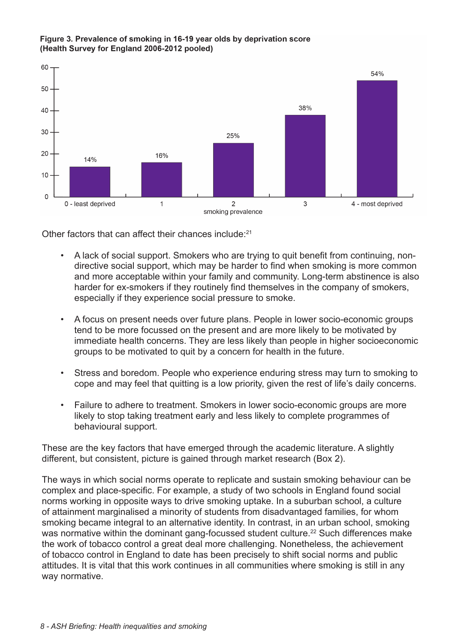

#### Figure 3. Prevalence of smoking in 16-19 year olds by deprivation score (Health Survey for England 2006-2012 pooled)

Other factors that can affect their chances include:<sup>21</sup>

- A lack of social support. Smokers who are trying to quit benefit from continuing, nondirective social support, which may be harder to find when smoking is more common and more acceptable within your family and community. Long-term abstinence is also harder for ex-smokers if they routinely find themselves in the company of smokers, especially if they experience social pressure to smoke.
- A focus on present needs over future plans. People in lower socio-economic groups tend to be more focussed on the present and are more likely to be motivated by immediate health concerns. They are less likely than people in higher socioeconomic groups to be motivated to quit by a concern for health in the future.
- Stress and boredom. People who experience enduring stress may turn to smoking to cope and may feel that quitting is a low priority, given the rest of life's daily concerns.
- Failure to adhere to treatment. Smokers in lower socio-economic groups are more likely to stop taking treatment early and less likely to complete programmes of behavioural support.

These are the key factors that have emerged through the academic literature. A slightly different, but consistent, picture is gained through market research (Box 2).

The ways in which social norms operate to replicate and sustain smoking behaviour can be complex and place-specific. For example, a study of two schools in England found social norms working in opposite ways to drive smoking uptake. In a suburban school, a culture of attainment marginalised a minority of students from disadvantaged families, for whom smoking became integral to an alternative identity. In contrast, in an urban school, smoking was normative within the dominant gang-focussed student culture.<sup>22</sup> Such differences make the work of tobacco control a great deal more challenging. Nonetheless, the achievement of tobacco control in England to date has been precisely to shift social norms and public attitudes. It is vital that this work continues in all communities where smoking is still in any way normative.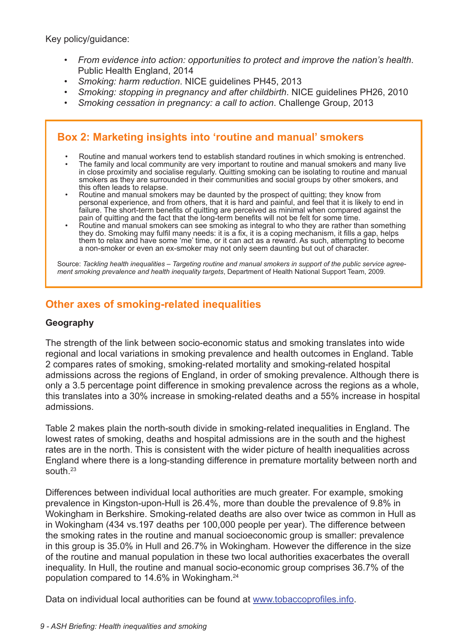Key policy/guidance:

- *• From evidence into action: opportunities to protect and improve the nation's health*. Public Health England, 2014
- *• Smoking: harm reduction*. NICE guidelines PH45, 2013
- *• Smoking: stopping in pregnancy and after childbirth*. NICE guidelines PH26, 2010
- *• Smoking cessation in pregnancy: a call to action*. Challenge Group, 2013

# **Box 2: Marketing insights into 'routine and manual' smokers**

- Routine and manual workers tend to establish standard routines in which smoking is entrenched. The family and local community are very important to routine and manual smokers and many live in close proximity and socialise regularly. Quitting smoking can be isolating to routine and manual smokers as they are surrounded in their communities and social groups by other smokers, and this often leads to relapse.
- Routine and manual smokers may be daunted by the prospect of quitting; they know from personal experience, and from others, that it is hard and painful, and feel that it is likely to end in failure. The short-term benefits of quitting are perceived as minimal when compared against the pain of quitting and the fact that the long-term benefits will not be felt for some time.
- • Routine and manual smokers can see smoking as integral to who they are rather than something they do. Smoking may fulfil many needs: it is a fix, it is a coping mechanism, it fills a gap, helps them to relax and have some 'me' time, or it can act as a reward. As such, attempting to become a non-smoker or even an ex-smoker may not only seem daunting but out of character.

Source: *Tackling health inequalities – Targeting routine and manual smokers in support of the public service agreement smoking prevalence and health inequality targets*, Department of Health National Support Team, 2009.

## **Other axes of smoking-related inequalities**

#### **Geography**

The strength of the link between socio-economic status and smoking translates into wide regional and local variations in smoking prevalence and health outcomes in England. Table 2 compares rates of smoking, smoking-related mortality and smoking-related hospital admissions across the regions of England, in order of smoking prevalence. Although there is only a 3.5 percentage point difference in smoking prevalence across the regions as a whole, this translates into a 30% increase in smoking-related deaths and a 55% increase in hospital admissions.

Table 2 makes plain the north-south divide in smoking-related inequalities in England. The lowest rates of smoking, deaths and hospital admissions are in the south and the highest rates are in the north. This is consistent with the wider picture of health inequalities across England where there is a long-standing difference in premature mortality between north and south.23

Differences between individual local authorities are much greater. For example, smoking prevalence in Kingston-upon-Hull is 26.4%, more than double the prevalence of 9.8% in Wokingham in Berkshire. Smoking-related deaths are also over twice as common in Hull as in Wokingham (434 vs.197 deaths per 100,000 people per year). The difference between the smoking rates in the routine and manual socioeconomic group is smaller: prevalence in this group is 35.0% in Hull and 26.7% in Wokingham. However the difference in the size of the routine and manual population in these two local authorities exacerbates the overall inequality. In Hull, the routine and manual socio-economic group comprises 36.7% of the population compared to 14.6% in Wokingham.24

Data on individual local authorities can be found at [www.tobaccoprofiles.inf](http://www.tobaccoprofiles.info)o.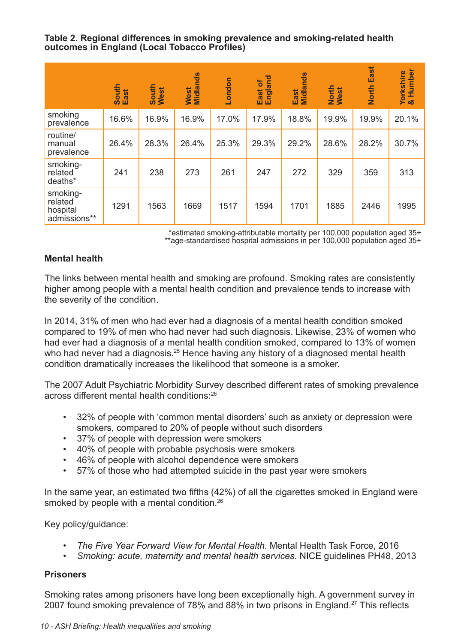**Table 2. Regional differences in smoking prevalence and smoking-related health outcomes in England (Local Tobacco Profiles)**

|                                                 | South<br>East | South<br>West | West<br>Midlands | London | hgland<br>$\mathbf{b}$<br>East<br>ш | Midlands<br>East | North<br>West | East<br><b>North</b> | & Humber<br>Yorkshire |
|-------------------------------------------------|---------------|---------------|------------------|--------|-------------------------------------|------------------|---------------|----------------------|-----------------------|
| smoking<br>prevalence                           | 16.6%         | 16.9%         | 16.9%            | 17.0%  | 17.9%                               | 18.8%            | 19.9%         | 19.9%                | 20.1%                 |
| routine/<br>manual<br>prevalence                | 26.4%         | 28.3%         | 26.4%            | 25.3%  | 29.3%                               | 29.2%            | 28.6%         | 28.2%                | 30.7%                 |
| smoking-<br>related<br>deaths*                  | 241           | 238           | 273              | 261    | 247                                 | 272              | 329           | 359                  | 313                   |
| smoking-<br>related<br>hospital<br>admissions** | 1291          | 1563          | 1669             | 1517   | 1594                                | 1701             | 1885          | 2446                 | 1995                  |

\*estimated smoking-attributable mortality per 100,000 population aged 35+ \*\*age-standardised hospital admissions in per 100,000 population aged 35+

## **Mental health**

The links between mental health and smoking are profound. Smoking rates are consistently higher among people with a mental health condition and prevalence tends to increase with the severity of the condition.

In 2014, 31% of men who had ever had a diagnosis of a mental health condition smoked compared to 19% of men who had never had such diagnosis. Likewise, 23% of women who had ever had a diagnosis of a mental health condition smoked, compared to 13% of women who had never had a diagnosis.<sup>25</sup> Hence having any history of a diagnosed mental health condition dramatically increases the likelihood that someone is a smoker.

The 2007 Adult Psychiatric Morbidity Survey described different rates of smoking prevalence across different mental health conditions:26

- • 32% of people with 'common mental disorders' such as anxiety or depression were smokers, compared to 20% of people without such disorders
- • 37% of people with depression were smokers
- • 40% of people with probable psychosis were smokers
- • 46% of people with alcohol dependence were smokers
- 57% of those who had attempted suicide in the past year were smokers

In the same year, an estimated two fifths (42%) of all the cigarettes smoked in England were smoked by people with a mental condition.<sup>26</sup>

Key policy/guidance:

- *• The Five Year Forward View for Mental Health*. Mental Health Task Force, 2016
- *• Smoking: acute, maternity and mental health services*. NICE guidelines PH48, 2013

#### **Prisoners**

Smoking rates among prisoners have long been exceptionally high. A government survey in 2007 found smoking prevalence of 78% and 88% in two prisons in England.<sup>27</sup> This reflects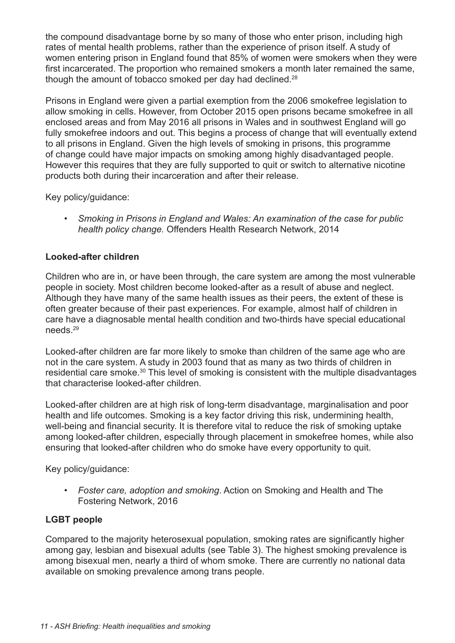the compound disadvantage borne by so many of those who enter prison, including high rates of mental health problems, rather than the experience of prison itself. A study of women entering prison in England found that 85% of women were smokers when they were first incarcerated. The proportion who remained smokers a month later remained the same, though the amount of tobacco smoked per day had declined.<sup>28</sup>

Prisons in England were given a partial exemption from the 2006 smokefree legislation to allow smoking in cells. However, from October 2015 open prisons became smokefree in all enclosed areas and from May 2016 all prisons in Wales and in southwest England will go fully smokefree indoors and out. This begins a process of change that will eventually extend to all prisons in England. Given the high levels of smoking in prisons, this programme of change could have major impacts on smoking among highly disadvantaged people. However this requires that they are fully supported to quit or switch to alternative nicotine products both during their incarceration and after their release.

Key policy/guidance:

*• Smoking in Prisons in England and Wales: An examination of the case for public health policy change.* Offenders Health Research Network, 2014

## **Looked-after children**

Children who are in, or have been through, the care system are among the most vulnerable people in society. Most children become looked-after as a result of abuse and neglect. Although they have many of the same health issues as their peers, the extent of these is often greater because of their past experiences. For example, almost half of children in care have a diagnosable mental health condition and two-thirds have special educational needs.29

Looked-after children are far more likely to smoke than children of the same age who are not in the care system. A study in 2003 found that as many as two thirds of children in residential care smoke.30 This level of smoking is consistent with the multiple disadvantages that characterise looked-after children.

Looked-after children are at high risk of long-term disadvantage, marginalisation and poor health and life outcomes. Smoking is a key factor driving this risk, undermining health, well-being and financial security. It is therefore vital to reduce the risk of smoking uptake among looked-after children, especially through placement in smokefree homes, while also ensuring that looked-after children who do smoke have every opportunity to quit.

Key policy/guidance:

*• Foster care, adoption and smoking*. Action on Smoking and Health and The Fostering Network, 2016

## **LGBT people**

Compared to the majority heterosexual population, smoking rates are significantly higher among gay, lesbian and bisexual adults (see Table 3). The highest smoking prevalence is among bisexual men, nearly a third of whom smoke. There are currently no national data available on smoking prevalence among trans people.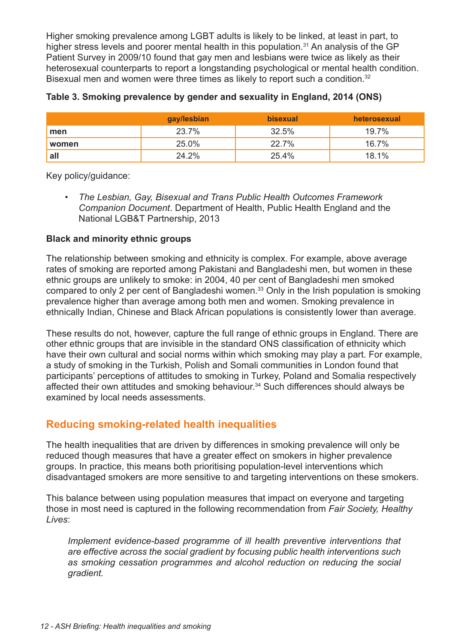Higher smoking prevalence among LGBT adults is likely to be linked, at least in part, to higher stress levels and poorer mental health in this population.<sup>31</sup> An analysis of the GP Patient Survey in 2009/10 found that gay men and lesbians were twice as likely as their heterosexual counterparts to report a longstanding psychological or mental health condition. Bisexual men and women were three times as likely to report such a condition.<sup>32</sup>

|       | gay/lesbian | <b>bisexual</b> | heterosexual |
|-------|-------------|-----------------|--------------|
| men   | 23.7%       | 32.5%           | $19.7\%$     |
| women | 25.0%       | 22.7%           | 16.7%        |
| all   | 24.2%       | 25.4%           | 18.1%        |

|  |  |  |  | Table 3. Smoking prevalence by gender and sexuality in England, 2014 (ONS) |  |
|--|--|--|--|----------------------------------------------------------------------------|--|
|--|--|--|--|----------------------------------------------------------------------------|--|

Key policy/guidance:

*• The Lesbian, Gay, Bisexual and Trans Public Health Outcomes Framework Companion Document*. Department of Health, Public Health England and the National LGB&T Partnership, 2013

## **Black and minority ethnic groups**

The relationship between smoking and ethnicity is complex. For example, above average rates of smoking are reported among Pakistani and Bangladeshi men, but women in these ethnic groups are unlikely to smoke: in 2004, 40 per cent of Bangladeshi men smoked compared to only 2 per cent of Bangladeshi women.<sup>33</sup> Only in the Irish population is smoking prevalence higher than average among both men and women. Smoking prevalence in ethnically Indian, Chinese and Black African populations is consistently lower than average.

These results do not, however, capture the full range of ethnic groups in England. There are other ethnic groups that are invisible in the standard ONS classification of ethnicity which have their own cultural and social norms within which smoking may play a part. For example, a study of smoking in the Turkish, Polish and Somali communities in London found that participants' perceptions of attitudes to smoking in Turkey, Poland and Somalia respectively affected their own attitudes and smoking behaviour.<sup>34</sup> Such differences should always be examined by local needs assessments.

# **Reducing smoking-related health inequalities**

The health inequalities that are driven by differences in smoking prevalence will only be reduced though measures that have a greater effect on smokers in higher prevalence groups. In practice, this means both prioritising population-level interventions which disadvantaged smokers are more sensitive to and targeting interventions on these smokers.

This balance between using population measures that impact on everyone and targeting those in most need is captured in the following recommendation from *Fair Society, Healthy Lives*:

*Implement evidence-based programme of ill health preventive interventions that are effective across the social gradient by focusing public health interventions such as smoking cessation programmes and alcohol reduction on reducing the social gradient.*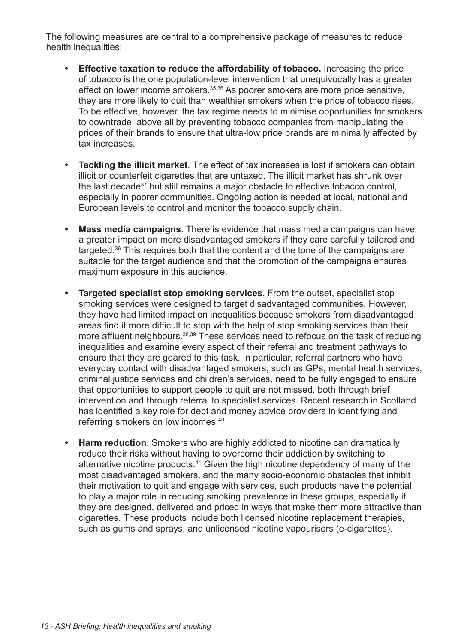The following measures are central to a comprehensive package of measures to reduce health inequalities:

- **• Effective taxation to reduce the affordability of tobacco.** Increasing the price of tobacco is the one population-level intervention that unequivocally has a greater effect on lower income smokers.35,36 As poorer smokers are more price sensitive, they are more likely to quit than wealthier smokers when the price of tobacco rises. To be effective, however, the tax regime needs to minimise opportunities for smokers to downtrade, above all by preventing tobacco companies from manipulating the prices of their brands to ensure that ultra-low price brands are minimally affected by tax increases.
- **• Tackling the illicit market**. The effect of tax increases is lost if smokers can obtain illicit or counterfeit cigarettes that are untaxed. The illicit market has shrunk over the last decade<sup>37</sup> but still remains a major obstacle to effective tobacco control, especially in poorer communities. Ongoing action is needed at local, national and European levels to control and monitor the tobacco supply chain.
- **• Mass media campaigns.** There is evidence that mass media campaigns can have a greater impact on more disadvantaged smokers if they care carefully tailored and targeted.36 This requires both that the content and the tone of the campaigns are suitable for the target audience and that the promotion of the campaigns ensures maximum exposure in this audience.
- **• Targeted specialist stop smoking services**. From the outset, specialist stop smoking services were designed to target disadvantaged communities. However, they have had limited impact on inequalities because smokers from disadvantaged areas find it more difficult to stop with the help of stop smoking services than their more affluent neighbours.38,39 These services need to refocus on the task of reducing inequalities and examine every aspect of their referral and treatment pathways to ensure that they are geared to this task. In particular, referral partners who have everyday contact with disadvantaged smokers, such as GPs, mental health services, criminal justice services and children's services, need to be fully engaged to ensure that opportunities to support people to quit are not missed, both through brief intervention and through referral to specialist services. Recent research in Scotland has identified a key role for debt and money advice providers in identifying and referring smokers on low incomes.40
- **• Harm reduction**. Smokers who are highly addicted to nicotine can dramatically reduce their risks without having to overcome their addiction by switching to alternative nicotine products.<sup>41</sup> Given the high nicotine dependency of many of the most disadvantaged smokers, and the many socio-economic obstacles that inhibit their motivation to quit and engage with services, such products have the potential to play a major role in reducing smoking prevalence in these groups, especially if they are designed, delivered and priced in ways that make them more attractive than cigarettes. These products include both licensed nicotine replacement therapies, such as gums and sprays, and unlicensed nicotine vapourisers (e-cigarettes).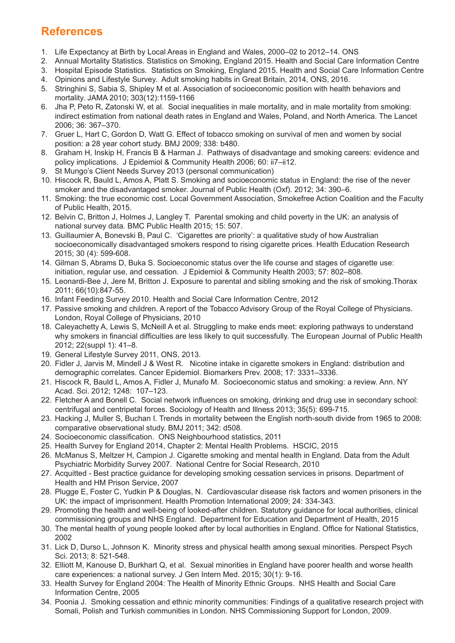# **References**

- 1. Life Expectancy at Birth by Local Areas in England and Wales, 2000–02 to 2012–14. ONS
- 2. Annual Mortality Statistics. Statistics on Smoking, England 2015. Health and Social Care Information Centre
- 3. Hospital Episode Statistics. Statistics on Smoking, England 2015. Health and Social Care Information Centre
- 4. Opinions and Lifestyle Survey. Adult smoking habits in Great Britain, 2014, ONS, 2016.
- 5. Stringhini S, Sabia S, Shipley M et al. Association of socioeconomic position with health behaviors and mortality. JAMA 2010; 303(12):1159-1166
- 6. Jha P, Peto R, Zatonski W, et al. Social inequalities in male mortality, and in male mortality from smoking: indirect estimation from national death rates in England and Wales, Poland, and North America. The Lancet 2006; 36: 367–370.
- 7. Gruer L, Hart C, Gordon D, Watt G. Effect of tobacco smoking on survival of men and women by social position: a 28 year cohort study. BMJ 2009; 338: b480.
- 8. Graham H, Inskip H, Francis B & Harman J. Pathways of disadvantage and smoking careers: evidence and policy implications. J Epidemiol & Community Health 2006; 60: ii7–ii12.
- 9. St Mungo's Client Needs Survey 2013 (personal communication)
- 10. Hiscock R, Bauld L, Amos A, Platt S. Smoking and socioeconomic status in England: the rise of the never smoker and the disadvantaged smoker. Journal of Public Health (Oxf). 2012; 34: 390–6.
- 11. Smoking: the true economic cost. Local Government Association, Smokefree Action Coalition and the Faculty of Public Health, 2015.
- 12. Belvin C, Britton J, Holmes J, Langley T. Parental smoking and child poverty in the UK: an analysis of national survey data. BMC Public Health 2015; 15: 507.
- 13. Guillaumier A, Bonevski B, Paul C. 'Cigarettes are priority': a qualitative study of how Australian socioeconomically disadvantaged smokers respond to rising cigarette prices. Health Education Research 2015; 30 (4): 599-608.
- 14. Gilman S, Abrams D, Buka S. Socioeconomic status over the life course and stages of cigarette use: initiation, regular use, and cessation. J Epidemiol & Community Health 2003; 57: 802–808.
- 15. Leonardi-Bee J, Jere M, Britton J. Exposure to parental and sibling smoking and the risk of smoking.Thorax 2011; 66(10):847-55.
- 16. Infant Feeding Survey 2010. Health and Social Care Information Centre, 2012
- 17. Passive smoking and children. A report of the Tobacco Advisory Group of the Royal College of Physicians. London, Royal College of Physicians, 2010
- 18. Caleyachetty A, Lewis S, McNeill A et al. Struggling to make ends meet: exploring pathways to understand why smokers in financial difficulties are less likely to quit successfully. The European Journal of Public Health 2012; 22(suppl 1): 41–8.
- 19. General Lifestyle Survey 2011, ONS, 2013.
- 20. Fidler J, Jarvis M, Mindell J & West R. Nicotine intake in cigarette smokers in England: distribution and demographic correlates. Cancer Epidemiol. Biomarkers Prev. 2008; 17: 3331–3336.
- 21. Hiscock R, Bauld L, Amos A, Fidler J, Munafo M. Socioeconomic status and smoking: a review. Ann. NY Acad. Sci. 2012; 1248: 107–123.
- 22. Fletcher A and Bonell C. Social network influences on smoking, drinking and drug use in secondary school: centrifugal and centripetal forces. Sociology of Health and Illness 2013; 35(5): 699-715.
- 23. Hacking J, Muller S, Buchan I. Trends in mortality between the English north-south divide from 1965 to 2008: comparative observational study. BMJ 2011; 342: d508.
- 24. Socioeconomic classification. ONS Neighbourhood statistics, 2011
- 25. Health Survey for England 2014, Chapter 2: Mental Health Problems. HSCIC, 2015
- 26. McManus S, Meltzer H, Campion J. Cigarette smoking and mental health in England. Data from the Adult Psychiatric Morbidity Survey 2007. National Centre for Social Research, 2010
- 27. Acquitted Best practice guidance for developing smoking cessation services in prisons. Department of Health and HM Prison Service, 2007
- 28. Plugge E, Foster C, Yudkin P & Douglas, N. Cardiovascular disease risk factors and women prisoners in the UK: the impact of imprisonment. Health Promotion International 2009; 24: 334-343.
- 29. Promoting the health and well-being of looked-after children. Statutory guidance for local authorities, clinical commissioning groups and NHS England. Department for Education and Department of Health, 2015
- 30. The mental health of young people looked after by local authorities in England. Office for National Statistics, 2002
- 31. Lick D, Durso L, Johnson K. Minority stress and physical health among sexual minorities. Perspect Psych Sci. 2013; 8: 521-548.
- 32. Elliott M, Kanouse D, Burkhart Q, et al. Sexual minorities in England have poorer health and worse health care experiences: a national survey. J Gen Intern Med. 2015; 30(1): 9-16.
- 33. Health Survey for England 2004: The Health of Minority Ethnic Groups. NHS Health and Social Care Information Centre, 2005
- 34. Poonia J. Smoking cessation and ethnic minority communities: Findings of a qualitative research project with Somali, Polish and Turkish communities in London. NHS Commissioning Support for London, 2009.